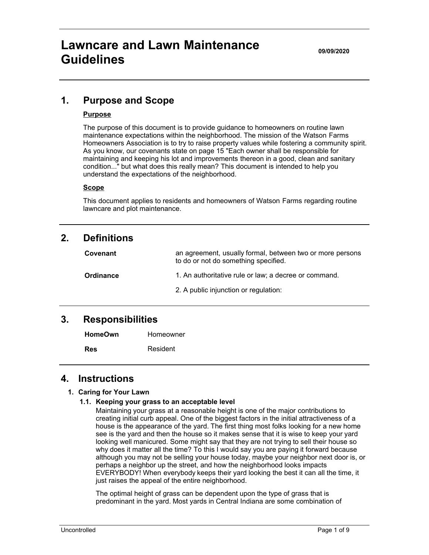**09/09/2020**

## **1. Purpose and Scope**

### **Purpose**

The purpose of this document is to provide guidance to homeowners on routine lawn maintenance expectations within the neighborhood. The mission of the Watson Farms Homeowners Association is to try to raise property values while fostering a community spirit. As you know, our covenants state on page 15 "Each owner shall be responsible for maintaining and keeping his lot and improvements thereon in a good, clean and sanitary condition..." but what does this really mean? This document is intended to help you understand the expectations of the neighborhood.

#### **Scope**

This document applies to residents and homeowners of Watson Farms regarding routine lawncare and plot maintenance.

### **2. Definitions**

| Covenant  | an agreement, usually formal, between two or more persons<br>to do or not do something specified. |
|-----------|---------------------------------------------------------------------------------------------------|
| Ordinance | 1. An authoritative rule or law; a decree or command.                                             |
|           | 2. A public injunction or regulation:                                                             |

### **3. Responsibilities**

| <b>HomeOwn</b> | Homeowner |
|----------------|-----------|
| <b>Res</b>     | Resident  |

### **4. Instructions**

### **1. Caring for Your Lawn**

### **1.1. Keeping your grass to an acceptable level**

Maintaining your grass at a reasonable height is one of the major contributions to creating initial curb appeal. One of the biggest factors in the initial attractiveness of a house is the appearance of the yard. The first thing most folks looking for a new home see is the yard and then the house so it makes sense that it is wise to keep your yard looking well manicured. Some might say that they are not trying to sell their house so why does it matter all the time? To this I would say you are paying it forward because although you may not be selling your house today, maybe your neighbor next door is, or perhaps a neighbor up the street, and how the neighborhood looks impacts EVERYBODY! When everybody keeps their yard looking the best it can all the time, it just raises the appeal of the entire neighborhood.

The optimal height of grass can be dependent upon the type of grass that is predominant in the yard. Most yards in Central Indiana are some combination of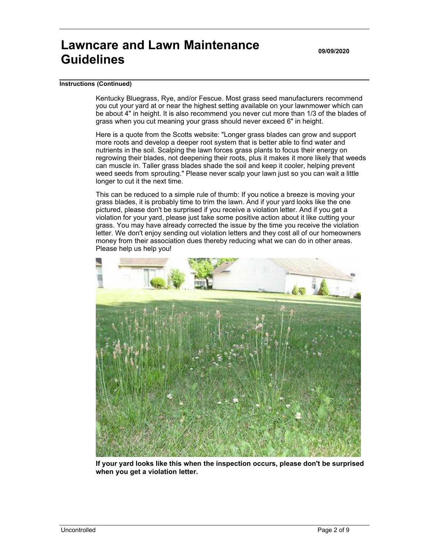**09/09/2020**

#### **Instructions (Continued)**

Kentucky Bluegrass, Rye, and/or Fescue. Most grass seed manufacturers recommend you cut your yard at or near the highest setting available on your lawnmower which can be about 4" in height. It is also recommend you never cut more than 1/3 of the blades of grass when you cut meaning your grass should never exceed 6" in height.

Here is a quote from the Scotts website: "Longer grass blades can grow and support more roots and develop a deeper root system that is better able to find water and nutrients in the soil. Scalping the lawn forces grass plants to focus their energy on regrowing their blades, not deepening their roots, plus it makes it more likely that weeds can muscle in. Taller grass blades shade the soil and keep it cooler, helping prevent weed seeds from sprouting." Please never scalp your lawn just so you can wait a little longer to cut it the next time.

This can be reduced to a simple rule of thumb: If you notice a breeze is moving your grass blades, it is probably time to trim the lawn. And if your yard looks like the one pictured, please don't be surprised if you receive a violation letter. And if you get a violation for your yard, please just take some positive action about it like cutting your grass. You may have already corrected the issue by the time you receive the violation letter. We don't enjoy sending out violation letters and they cost all of our homeowners money from their association dues thereby reducing what we can do in other areas. Please help us help you!



**If your yard looks like this when the inspection occurs, please don't be surprised when you get a violation letter.**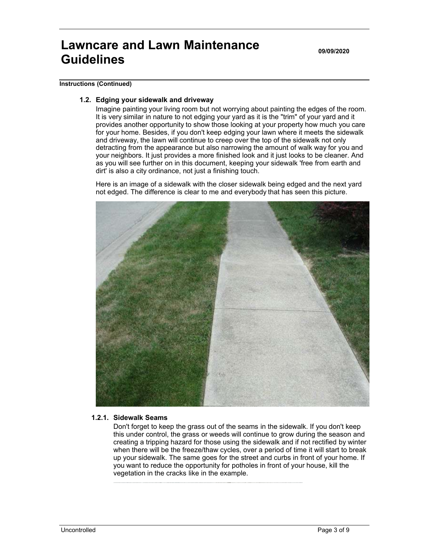**09/09/2020**

#### **Instructions (Continued)**

#### **1.2. Edging your sidewalk and driveway**

Imagine painting your living room but not worrying about painting the edges of the room. It is very similar in nature to not edging your yard as it is the "trim" of your yard and it provides another opportunity to show those looking at your property how much you care for your home. Besides, if you don't keep edging your lawn where it meets the sidewalk and driveway, the lawn will continue to creep over the top of the sidewalk not only detracting from the appearance but also narrowing the amount of walk way for you and your neighbors. It just provides a more finished look and it just looks to be cleaner. And as you will see further on in this document, keeping your sidewalk 'free from earth and dirt' is also a city ordinance, not just a finishing touch.

Here is an image of a sidewalk with the closer sidewalk being edged and the next yard not edged. The difference is clear to me and everybody that has seen this picture.



#### **1.2.1. Sidewalk Seams**

Don't forget to keep the grass out of the seams in the sidewalk. If you don't keep this under control, the grass or weeds will continue to grow during the season and creating a tripping hazard for those using the sidewalk and if not rectified by winter when there will be the freeze/thaw cycles, over a period of time it will start to break up your sidewalk. The same goes for the street and curbs in front of your home. If you want to reduce the opportunity for potholes in front of your house, kill the vegetation in the cracks like in the example.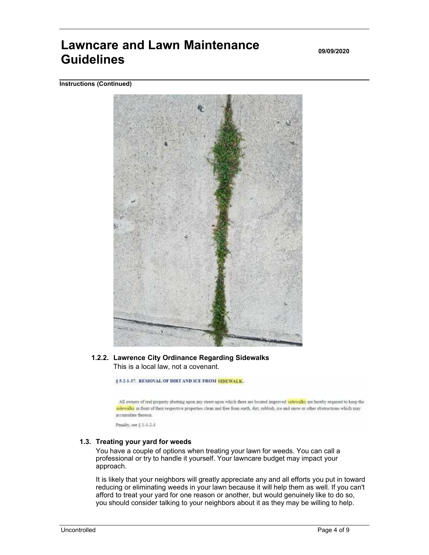**09/09/2020**

**Instructions (Continued)**



### **1.2.2. Lawrence City Ordinance Regarding Sidewalks** This is a local law, not a covenant.

§ 5-2-1-37. REMOVAL OF DIRT AND ICE FROM SIDEWALK.

All owners of real property abutting upon any street upon which there are located improved sidewalks are hereby required to keep the sidewalks in front of their respective properties clean and free from earth, dirt, rubbish, ice and snow or other obstructions which may accumulate thereon.

Penalty, see § 1-1-2-3

#### **1.3. Treating your yard for weeds**

You have a couple of options when treating your lawn for weeds. You can call a professional or try to handle it yourself. Your lawncare budget may impact your approach.

It is likely that your neighbors will greatly appreciate any and all efforts you put in toward reducing or eliminating weeds in your lawn because it will help them as well. If you can't afford to treat your yard for one reason or another, but would genuinely like to do so, you should consider talking to your neighbors about it as they may be willing to help.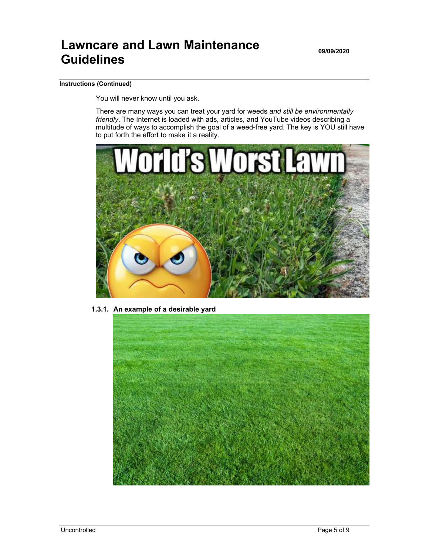**09/09/2020**

#### **Instructions (Continued)**

You will never know until you ask.

There are many ways you can treat your yard for weeds *and still be environmentally friendly*. The Internet is loaded with ads, articles, and YouTube videos describing a multitude of ways to accomplish the goal of a weed-free yard. The key is YOU still have to put forth the effort to make it a reality.



**1.3.1. An example of a desirable yard**

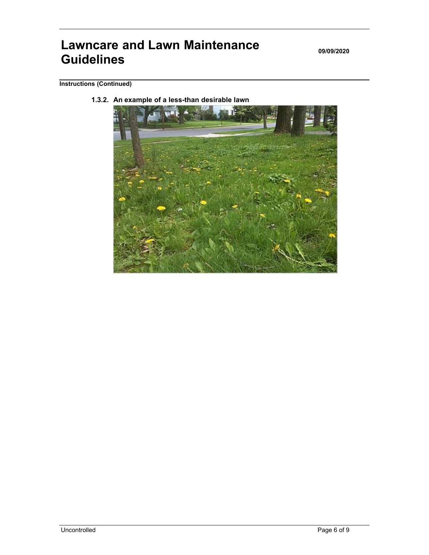**09/09/2020**

### **Instructions (Continued)**

**1.3.2. An example of a less-than desirable lawn**

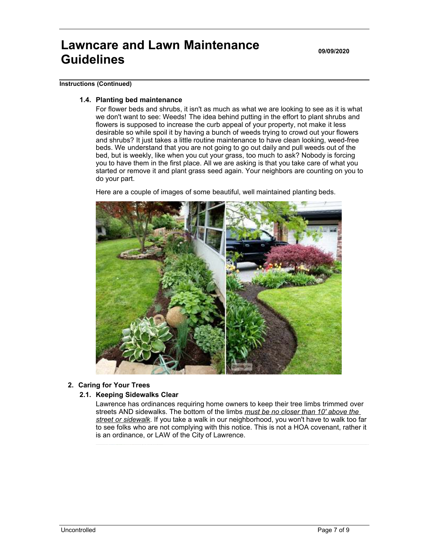**09/09/2020**

#### **Instructions (Continued)**

#### **1.4. Planting bed maintenance**

For flower beds and shrubs, it isn't as much as what we are looking to see as it is what we don't want to see: Weeds! The idea behind putting in the effort to plant shrubs and flowers is supposed to increase the curb appeal of your property, not make it less desirable so while spoil it by having a bunch of weeds trying to crowd out your flowers and shrubs? It just takes a little routine maintenance to have clean looking, weed-free beds. We understand that you are not going to go out daily and pull weeds out of the bed, but is weekly, like when you cut your grass, too much to ask? Nobody is forcing you to have them in the first place. All we are asking is that you take care of what you started or remove it and plant grass seed again. Your neighbors are counting on you to do your part.

Here are a couple of images of some beautiful, well maintained planting beds.



**2. Caring for Your Trees**

#### **2.1. Keeping Sidewalks Clear**

Lawrence has ordinances requiring home owners to keep their tree limbs trimmed over streets AND sidewalks. The bottom of the limbs *must be no closer than 10' above the street or sidewalk*. If you take a walk in our neighborhood, you won't have to walk too far to see folks who are not complying with this notice. This is not a HOA covenant, rather it is an ordinance, or LAW of the City of Lawrence.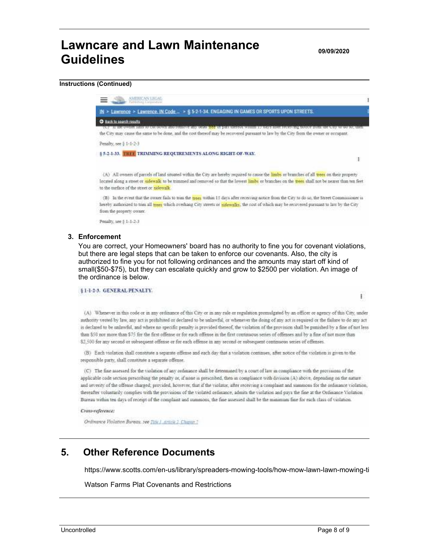**09/09/2020**

#### **Instructions (Continued)**



Penalty, see § 1-1-2-3

#### **3. Enforcement**

You are correct, your Homeowners' board has no authority to fine you for covenant violations, but there are legal steps that can be taken to enforce our covenants. Also, the city is authorized to fine you for not following ordinances and the amounts may start off kind of small(\$50-\$75), but they can escalate quickly and grow to \$2500 per violation. An image of the ordinance is below.

#### §1-1-2-3. GENERAL PENALTY.

(A) Whenever in this code or in any ordinance of this City or in any rule or regulation promulgated by an officer or agency of this City, under nuthority vested by law, any act is prohibited or declared to be unlawful, or whenever the doing of any act is required or the failure to do any act is declared to be unlawful, and where no specific penalty is provided thereof, the violation of the provision shall be punished by a fine of not less than \$50 not more than \$75 for the first offense or for each offense in the first continuous series of offenses and by a fine of not more than \$2,500 for any second or subsequent offense or for each offense in any second or subsequent continuous series of offenses.

(B) Each violation shall constitute a separate offense and each day that a violation continues, after notice of the violation is given to the responsible party, shall constitute a separate offense.

(C) The fine assessed for the violation of any ordinance shall be determined by a court of law in compliance with the provisions of the applicable code section prescribing the penalty or, if none is prescribed, then in compliance with division (A) above, depending on the nature and seventy of the offeme charged; provided, however, that if the violator, after receiving a complaint and summons for the ordinance violation, thereafter voluntarily complies with the provisions of the violated ordinance, admits the violation and pays the fine at the Ordinance Violation Bureau within ten days of receipt of the complaint and summons, the fine assessed shall be the minimum fine for each class of violation.

#### Cross-reference:

Ordinance Violation Bureau, see Title 1, article 2. Chapter 7.

## **5. Other Reference Documents**

https://www.scotts.com/en-us/library/spreaders-mowing-tools/how-mow-lawn-lawn-mowing-ti

Watson Farms Plat Covenants and Restrictions

ï